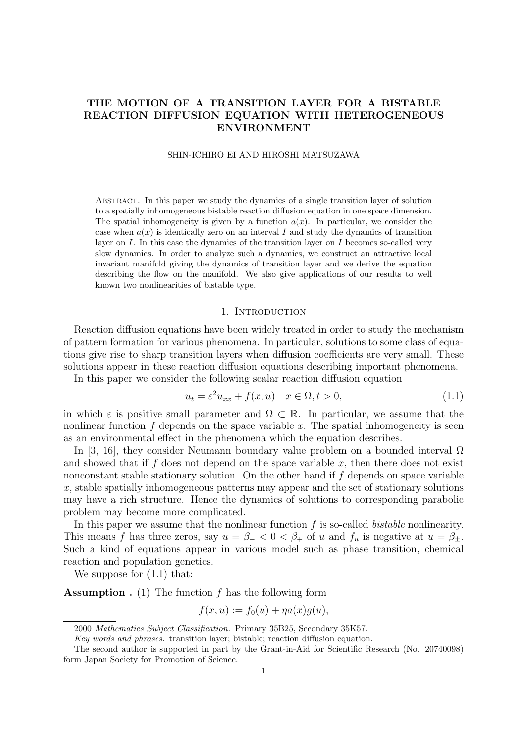# THE MOTION OF A TRANSITION LAYER FOR A BISTABLE REACTION DIFFUSION EQUATION WITH HETEROGENEOUS ENVIRONMENT

## SHIN-ICHIRO EI AND HIROSHI MATSUZAWA

Abstract. In this paper we study the dynamics of a single transition layer of solution to a spatially inhomogeneous bistable reaction diffusion equation in one space dimension. The spatial inhomogeneity is given by a function  $a(x)$ . In particular, we consider the case when  $a(x)$  is identically zero on an interval I and study the dynamics of transition layer on I. In this case the dynamics of the transition layer on I becomes so-called very slow dynamics. In order to analyze such a dynamics, we construct an attractive local invariant manifold giving the dynamics of transition layer and we derive the equation describing the flow on the manifold. We also give applications of our results to well known two nonlinearities of bistable type.

#### 1. INTRODUCTION

Reaction diffusion equations have been widely treated in order to study the mechanism of pattern formation for various phenomena. In particular, solutions to some class of equations give rise to sharp transition layers when diffusion coefficients are very small. These solutions appear in these reaction diffusion equations describing important phenomena.

In this paper we consider the following scalar reaction diffusion equation

$$
u_t = \varepsilon^2 u_{xx} + f(x, u) \quad x \in \Omega, t > 0,
$$
\n(1.1)

in which  $\varepsilon$  is positive small parameter and  $\Omega \subset \mathbb{R}$ . In particular, we assume that the nonlinear function  $f$  depends on the space variable  $x$ . The spatial inhomogeneity is seen as an environmental effect in the phenomena which the equation describes.

In [3, 16], they consider Neumann boundary value problem on a bounded interval  $\Omega$ and showed that if f does not depend on the space variable  $x$ , then there does not exist nonconstant stable stationary solution. On the other hand if  $f$  depends on space variable x, stable spatially inhomogeneous patterns may appear and the set of stationary solutions may have a rich structure. Hence the dynamics of solutions to corresponding parabolic problem may become more complicated.

In this paper we assume that the nonlinear function  $f$  is so-called *bistable* nonlinearity. This means f has three zeros, say  $u = \beta_- < 0 < \beta_+$  of u and  $f_u$  is negative at  $u = \beta_+$ . Such a kind of equations appear in various model such as phase transition, chemical reaction and population genetics.

We suppose for  $(1.1)$  that:

**Assumption** . (1) The function  $f$  has the following form

$$
f(x, u) := f_0(u) + \eta a(x)g(u),
$$

<sup>2000</sup> Mathematics Subject Classification. Primary 35B25, Secondary 35K57.

Key words and phrases. transition layer; bistable; reaction diffusion equation.

The second author is supported in part by the Grant-in-Aid for Scientific Research (No. 20740098) form Japan Society for Promotion of Science.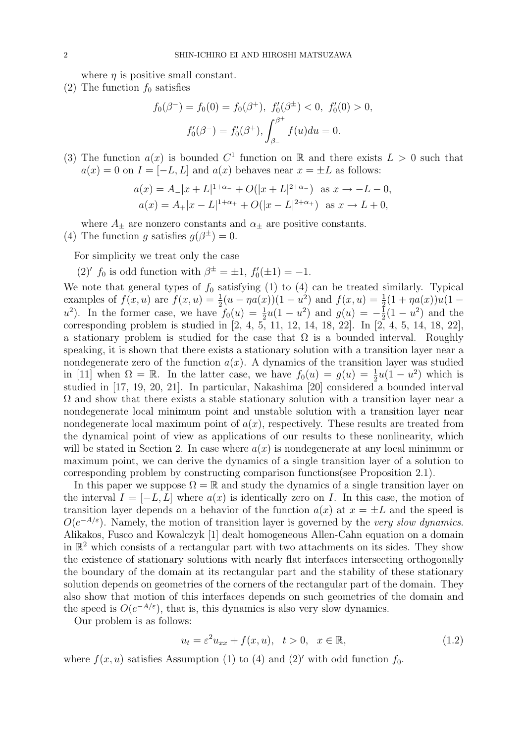where  $\eta$  is positive small constant.

(2) The function  $f_0$  satisfies

$$
f_0(\beta^-) = f_0(0) = f_0(\beta^+), \ f'_0(\beta^\pm) < 0, \ f'_0(0) > 0,
$$
\n
$$
f'_0(\beta^-) = f'_0(\beta^+), \int_{\beta_-}^{\beta^+} f(u) du = 0.
$$

(3) The function  $a(x)$  is bounded  $C^1$  function on R and there exists  $L > 0$  such that  $a(x) = 0$  on  $I = [-L, L]$  and  $a(x)$  behaves near  $x = \pm L$  as follows:

$$
a(x) = A_-|x + L|^{1+\alpha_-} + O(|x + L|^{2+\alpha_-}) \text{ as } x \to -L - 0,
$$
  
\n
$$
a(x) = A_+|x - L|^{1+\alpha_+} + O(|x - L|^{2+\alpha_+}) \text{ as } x \to L + 0,
$$

where  $A_{\pm}$  are nonzero constants and  $\alpha_{\pm}$  are positive constants.

(4) The function g satisfies  $g(\beta^{\pm})=0$ .

For simplicity we treat only the case

(2)'  $f_0$  is odd function with  $\beta^{\pm} = \pm 1$ ,  $f'_0(\pm 1) = -1$ .

We note that general types of  $f_0$  satisfying (1) to (4) can be treated similarly. Typical examples of  $f(x, u)$  are  $f(x, u) = \frac{1}{2}(u - \eta a(x))(1 - u^2)$  and  $f(x, u) = \frac{1}{2}(1 + \eta a(x))u(1 - u^2)$  $u^2$ ). In the former case, we have  $f_0(u) = \frac{1}{2}u(1-u^2)$  and  $g(u) = -\frac{1}{2}$  $\frac{1}{2}(1-u^2)$  and the corresponding problem is studied in  $[2, 4, 5, 11, 12, 14, 18, 22]$ . In  $[2, 4, 5, 14, 18, 22]$ , a stationary problem is studied for the case that  $\Omega$  is a bounded interval. Roughly speaking, it is shown that there exists a stationary solution with a transition layer near a nondegenerate zero of the function  $a(x)$ . A dynamics of the transition layer was studied in [11] when  $\Omega = \mathbb{R}$ . In the latter case, we have  $f_0(u) = g(u) = \frac{1}{2}u(1-u^2)$  which is studied in [17, 19, 20, 21]. In particular, Nakashima [20] considered a bounded interval  $\Omega$  and show that there exists a stable stationary solution with a transition layer near a nondegenerate local minimum point and unstable solution with a transition layer near nondegenerate local maximum point of  $a(x)$ , respectively. These results are treated from the dynamical point of view as applications of our results to these nonlinearity, which will be stated in Section 2. In case where  $a(x)$  is nondegenerate at any local minimum or maximum point, we can derive the dynamics of a single transition layer of a solution to corresponding problem by constructing comparison functions(see Proposition 2.1).

In this paper we suppose  $\Omega = \mathbb{R}$  and study the dynamics of a single transition layer on the interval  $I = [-L, L]$  where  $a(x)$  is identically zero on I. In this case, the motion of transition layer depends on a behavior of the function  $a(x)$  at  $x = \pm L$  and the speed is  $O(e^{-A/\varepsilon})$ . Namely, the motion of transition layer is governed by the very slow dynamics. Alikakos, Fusco and Kowalczyk [1] dealt homogeneous Allen-Cahn equation on a domain in  $\mathbb{R}^2$  which consists of a rectangular part with two attachments on its sides. They show the existence of stationary solutions with nearly flat interfaces intersecting orthogonally the boundary of the domain at its rectangular part and the stability of these stationary solution depends on geometries of the corners of the rectangular part of the domain. They also show that motion of this interfaces depends on such geometries of the domain and the speed is  $O(e^{-A/\varepsilon})$ , that is, this dynamics is also very slow dynamics.

Our problem is as follows:

$$
u_t = \varepsilon^2 u_{xx} + f(x, u), \quad t > 0, \quad x \in \mathbb{R}, \tag{1.2}
$$

where  $f(x, u)$  satisfies Assumption (1) to (4) and (2)' with odd function  $f_0$ .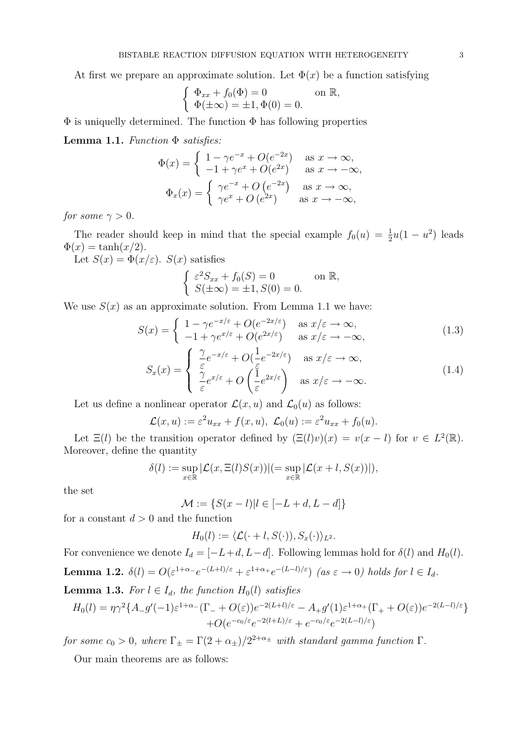At first we prepare an approximate solution. Let  $\Phi(x)$  be a function satisfying

$$
\begin{cases} \Phi_{xx} + f_0(\Phi) = 0 & \text{on } \mathbb{R}, \\ \Phi(\pm \infty) = \pm 1, \Phi(0) = 0. \end{cases}
$$

 $\Phi$  is uniquelly determined. The function  $\Phi$  has following properties

Lemma 1.1. Function  $\Phi$  satisfies:

$$
\Phi(x) = \begin{cases}\n1 - \gamma e^{-x} + O(e^{-2x}) & \text{as } x \to \infty, \\
-1 + \gamma e^x + O(e^{2x}) & \text{as } x \to -\infty, \\
\Phi_x(x) = \begin{cases}\n\gamma e^{-x} + O(e^{-2x}) & \text{as } x \to \infty, \\
\gamma e^x + O(e^{2x}) & \text{as } x \to -\infty,\n\end{cases}\n\end{cases}
$$

for some  $\gamma > 0$ .

The reader should keep in mind that the special example  $f_0(u) = \frac{1}{2}u(1 - u^2)$  leads  $\Phi(x) = \tanh(x/2).$ 

Let  $S(x) = \Phi(x/\varepsilon)$ .  $S(x)$  satisfies

$$
\begin{cases} \varepsilon^2 S_{xx} + f_0(S) = 0 & \text{on } \mathbb{R}, \\ S(\pm \infty) = \pm 1, S(0) = 0. \end{cases}
$$

We use  $S(x)$  as an approximate solution. From Lemma 1.1 we have:

$$
S(x) = \begin{cases} 1 - \gamma e^{-x/\varepsilon} + O(e^{-2x/\varepsilon}) & \text{as } x/\varepsilon \to \infty, \\ -1 + \gamma e^{x/\varepsilon} + O(e^{2x/\varepsilon}) & \text{as } x/\varepsilon \to -\infty, \end{cases}
$$
(1.3)

$$
S_x(x) = \begin{cases} \frac{\gamma}{\varepsilon} e^{-x/\varepsilon} + O(\frac{1}{\varepsilon} e^{-2x/\varepsilon}) & \text{as } x/\varepsilon \to \infty, \\ \frac{\gamma}{\varepsilon} e^{x/\varepsilon} + O(\frac{1}{\varepsilon} e^{2x/\varepsilon}) & \text{as } x/\varepsilon \to -\infty. \end{cases}
$$
(1.4)

Let us define a nonlinear operator  $\mathcal{L}(x, u)$  and  $\mathcal{L}_0(u)$  as follows:

$$
\mathcal{L}(x, u) := \varepsilon^2 u_{xx} + f(x, u), \ \mathcal{L}_0(u) := \varepsilon^2 u_{xx} + f_0(u).
$$

Let  $\Xi(l)$  be the transition operator defined by  $(\Xi(l)v)(x) = v(x - l)$  for  $v \in L^2(\mathbb{R})$ . Moreover, define the quantity

$$
\delta(l) := \sup_{x \in \mathbb{R}} |\mathcal{L}(x, \Xi(l)S(x))| (= \sup_{x \in \mathbb{R}} |\mathcal{L}(x+l, S(x))|),
$$

the set

$$
\mathcal{M} := \{ S(x-l) | l \in [-L+d, L-d] \}
$$

for a constant  $d > 0$  and the function

$$
H_0(l) := \langle \mathcal{L}(\cdot + l, S(\cdot)), S_x(\cdot) \rangle_{L^2}.
$$

For convenience we denote  $I_d = [-L+d, L-d]$ . Following lemmas hold for  $\delta(l)$  and  $H_0(l)$ . **Lemma 1.2.**  $\delta(l) = O(\varepsilon^{1+\alpha-\frac{e}{l}-(L+l)/\varepsilon} + \varepsilon^{1+\alpha+\frac{e}{l}-(L-l)/\varepsilon})$  (as  $\varepsilon \to 0$ ) holds for  $l \in I_d$ .

**Lemma 1.3.** For  $l \in I_d$ , the function  $H_0(l)$  satisfies

$$
H_0(l) = \eta \gamma^2 \{ A - g'(-1)\varepsilon^{1+\alpha_{-}} (\Gamma_{-} + O(\varepsilon))e^{-2(L+l)/\varepsilon} - A_{+}g'(1)\varepsilon^{1+\alpha_{+}} (\Gamma_{+} + O(\varepsilon))e^{-2(L-l)/\varepsilon} \} + O(e^{-c_0/\varepsilon} e^{-2(l+L)/\varepsilon} + e^{-c_0/\varepsilon} e^{-2(L-l)/\varepsilon})
$$

for some  $c_0 > 0$ , where  $\Gamma_{\pm} = \Gamma(2 + \alpha_{\pm})/2^{2+\alpha_{\pm}}$  with standard gamma function  $\Gamma$ .

Our main theorems are as follows: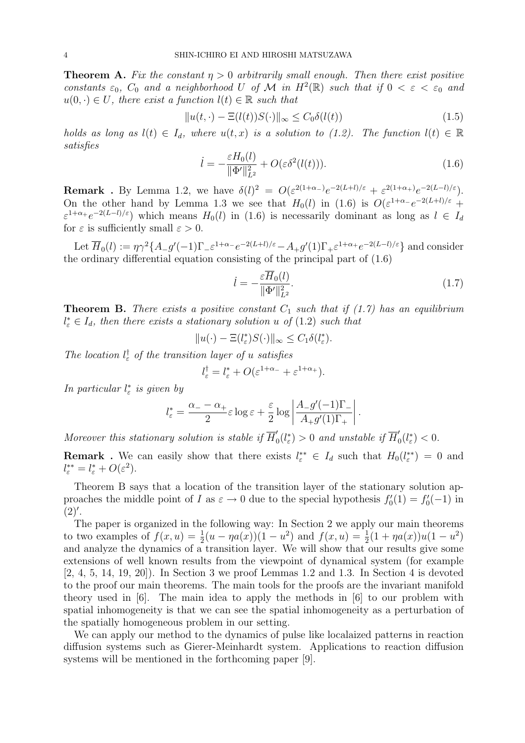**Theorem A.** Fix the constant  $\eta > 0$  arbitrarily small enough. Then there exist positive constants  $\varepsilon_0$ ,  $C_0$  and a neighborhood U of M in  $H^2(\mathbb{R})$  such that if  $0 < \varepsilon < \varepsilon_0$  and  $u(0, \cdot) \in U$ , there exist a function  $l(t) \in \mathbb{R}$  such that

$$
||u(t, \cdot) - \Xi(l(t))S(\cdot)||_{\infty} \le C_0 \delta(l(t))
$$
\n(1.5)

holds as long as  $l(t) \in I_d$ , where  $u(t, x)$  is a solution to (1.2). The function  $l(t) \in \mathbb{R}$ satisfies

$$
\dot{l} = -\frac{\varepsilon H_0(l)}{\|\Phi'\|_{L^2}^2} + O(\varepsilon \delta^2(l(t))). \tag{1.6}
$$

**Remark**. By Lemma 1.2, we have  $\delta(l)^2 = O(\varepsilon^{2(1+\alpha_-)}e^{-2(L+l)/\varepsilon} + \varepsilon^{2(1+\alpha_+)}e^{-2(L-l)/\varepsilon}).$ On the other hand by Lemma 1.3 we see that  $H_0(l)$  in (1.6) is  $O(\varepsilon^{1+\alpha-\alpha}e^{-2(L+l)/\varepsilon} +$  $\varepsilon^{1+\alpha_+}e^{-2(L-l)/\varepsilon}$  which means  $H_0(l)$  in (1.6) is necessarily dominant as long as  $l \in I_d$ for  $\varepsilon$  is sufficiently small  $\varepsilon > 0$ .

Let  $\overline{H}_0(l) := \eta \gamma^2 \{ A_g(-1) \Gamma_g \varepsilon^{1+\alpha} - e^{-2(L+l)/\varepsilon} - A_g(1) \Gamma_g \varepsilon^{1+\alpha} + e^{-2(L-l)/\varepsilon} \}$  and consider the ordinary differential equation consisting of the principal part of (1.6)

$$
\dot{l} = -\frac{\varepsilon \overline{H}_0(l)}{\|\Phi'\|_{L^2}^2}.\tag{1.7}
$$

**Theorem B.** There exists a positive constant  $C_1$  such that if (1.7) has an equilibrium  $l_{\varepsilon}^* \in I_d$ , then there exists a stationary solution u of (1.2) such that

$$
||u(\cdot) - \Xi(l_{\varepsilon}^*)S(\cdot)||_{\infty} \le C_1 \delta(l_{\varepsilon}^*).
$$

The location  $l_{\varepsilon}^{\dagger}$  of the transition layer of u satisfies

$$
l_{\varepsilon}^{\dagger} = l_{\varepsilon}^* + O(\varepsilon^{1+\alpha_-} + \varepsilon^{1+\alpha_+}).
$$

In particular  $l^*_{\varepsilon}$  is given by

$$
l_{\varepsilon}^{*} = \frac{\alpha_{-} - \alpha_{+}}{2} \varepsilon \log \varepsilon + \frac{\varepsilon}{2} \log \left| \frac{A_{-}g'(-1)\Gamma_{-}}{A_{+}g'(1)\Gamma_{+}} \right|.
$$

Moreover this stationary solution is stable if  $\overline{H}_0^{\prime}$  $\int_0^{\prime}(l_{\varepsilon}^*)$  > 0 and unstable if  $\overline{H}_{0}^{\prime}$  $_{0}^{\prime}(l_{\varepsilon}^{*})$  < 0.

**Remark**. We can easily show that there exists  $l_{\varepsilon}^{**} \in I_d$  such that  $H_0(l_{\varepsilon}^{**}) = 0$  and  $l_{\varepsilon}^{**} = l_{\varepsilon}^* + O(\varepsilon^2).$ 

Theorem B says that a location of the transition layer of the stationary solution approaches the middle point of I as  $\varepsilon \to 0$  due to the special hypothesis  $f'_0(1) = f'_0(-1)$  in  $(2)$ '.

The paper is organized in the following way: In Section 2 we apply our main theorems to two examples of  $f(x, u) = \frac{1}{2}(u - \eta a(x))(1 - u^2)$  and  $f(x, u) = \frac{1}{2}(1 + \eta a(x))u(1 - u^2)$ and analyze the dynamics of a transition layer. We will show that our results give some extensions of well known results from the viewpoint of dynamical system (for example [2, 4, 5, 14, 19, 20]). In Section 3 we proof Lemmas 1.2 and 1.3. In Section 4 is devoted to the proof our main theorems. The main tools for the proofs are the invariant manifold theory used in [6]. The main idea to apply the methods in [6] to our problem with spatial inhomogeneity is that we can see the spatial inhomogeneity as a perturbation of the spatially homogeneous problem in our setting.

We can apply our method to the dynamics of pulse like localaized patterns in reaction diffusion systems such as Gierer-Meinhardt system. Applications to reaction diffusion systems will be mentioned in the forthcoming paper [9].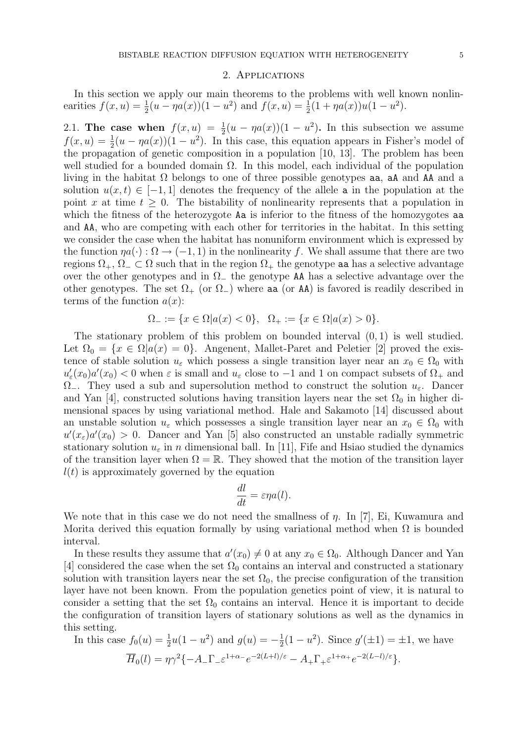#### 2. Applications

In this section we apply our main theorems to the problems with well known nonlinearities  $f(x, u) = \frac{1}{2}(u - \eta a(x))(1 - u^2)$  and  $f(x, u) = \frac{1}{2}(1 + \eta a(x))u(1 - u^2)$ .

2.1. The case when  $f(x, u) = \frac{1}{2}(u - \eta a(x))(1 - u^2)$ . In this subsection we assume  $f(x, u) = \frac{1}{2}(u - \eta a(x))(1 - u^2)$ . In this case, this equation appears in Fisher's model of the propagation of genetic composition in a population [10, 13]. The problem has been well studied for a bounded domain  $\Omega$ . In this model, each individual of the population living in the habitat  $\Omega$  belongs to one of three possible genotypes as a a and AA and a solution  $u(x, t) \in [-1, 1]$  denotes the frequency of the allele a in the population at the point x at time  $t \geq 0$ . The bistability of nonlinearity represents that a population in which the fitness of the heterozygote Aa is inferior to the fitness of the homozygotes aa and AA, who are competing with each other for territories in the habitat. In this setting we consider the case when the habitat has nonuniform environment which is expressed by the function  $\eta a(\cdot): \Omega \to (-1,1)$  in the nonlinearity f. We shall assume that there are two regions  $\Omega_+$ ,  $\Omega_- \subset \Omega$  such that in the region  $\Omega_+$  the genotype as has a selective advantage over the other genotypes and in  $\Omega$  the genotype AA has a selective advantage over the other genotypes. The set  $\Omega_{+}$  (or  $\Omega_{-}$ ) where aa (or AA) is favored is readily described in terms of the function  $a(x)$ :

$$
\Omega_- := \{ x \in \Omega | a(x) < 0 \}, \ \ \Omega_+ := \{ x \in \Omega | a(x) > 0 \}.
$$

The stationary problem of this problem on bounded interval  $(0, 1)$  is well studied. Let  $\Omega_0 = \{x \in \Omega | a(x) = 0\}$ . Angenent, Mallet-Paret and Peletier [2] proved the existence of stable solution  $u_{\varepsilon}$  which possess a single transition layer near an  $x_0 \in \Omega_0$  with  $u'_{\varepsilon}(x_0)a'(x_0) < 0$  when  $\varepsilon$  is small and  $u_{\varepsilon}$  close to  $-1$  and 1 on compact subsets of  $\Omega_+$  and  $\Omega_{-}$ . They used a sub and supersolution method to construct the solution  $u_{\varepsilon}$ . Dancer and Yan [4], constructed solutions having transition layers near the set  $\Omega_0$  in higher dimensional spaces by using variational method. Hale and Sakamoto [14] discussed about an unstable solution  $u_{\varepsilon}$  which possesses a single transition layer near an  $x_0 \in \Omega_0$  with  $u'(x<sub>\varepsilon</sub>)a'(x_0) > 0$ . Dancer and Yan [5] also constructed an unstable radially symmetric stationary solution  $u_{\varepsilon}$  in n dimensional ball. In [11], Fife and Hsiao studied the dynamics of the transition layer when  $\Omega = \mathbb{R}$ . They showed that the motion of the transition layer  $l(t)$  is approximately governed by the equation

$$
\frac{dl}{dt} = \varepsilon \eta a(l).
$$

We note that in this case we do not need the smallness of *η*. In [7], Ei, Kuwamura and Morita derived this equation formally by using variational method when  $\Omega$  is bounded interval.

In these results they assume that  $a'(x_0) \neq 0$  at any  $x_0 \in \Omega_0$ . Although Dancer and Yan [4] considered the case when the set  $\Omega_0$  contains an interval and constructed a stationary solution with transition layers near the set  $\Omega_0$ , the precise configuration of the transition layer have not been known. From the population genetics point of view, it is natural to consider a setting that the set  $\Omega_0$  contains an interval. Hence it is important to decide the configuration of transition layers of stationary solutions as well as the dynamics in this setting.

In this case 
$$
f_0(u) = \frac{1}{2}u(1 - u^2)
$$
 and  $g(u) = -\frac{1}{2}(1 - u^2)$ . Since  $g'(\pm 1) = \pm 1$ , we have  
\n
$$
\overline{H}_0(l) = \eta \gamma^2 \{-A_{-}\Gamma_{-} \varepsilon^{1+\alpha_{-}} e^{-2(L+l)/\varepsilon} - A_{+}\Gamma_{+} \varepsilon^{1+\alpha_{+}} e^{-2(L-l)/\varepsilon} \}.
$$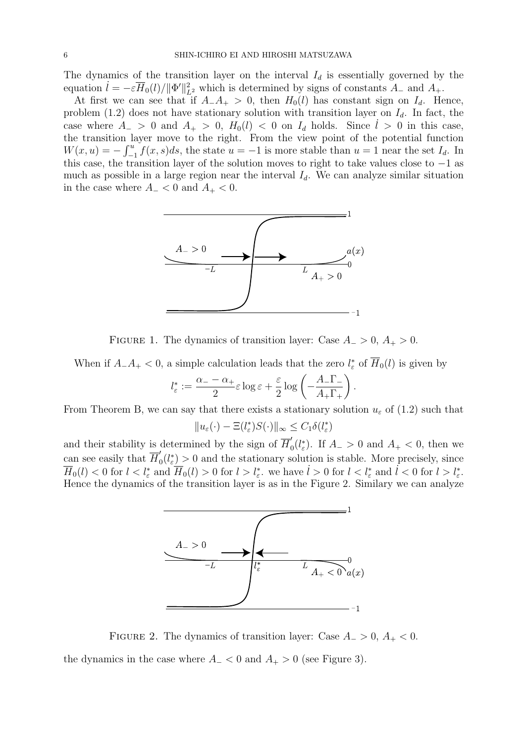The dynamics of the transition layer on the interval  $I_d$  is essentially governed by the equation  $\hat{l} = -\varepsilon \overline{H}_0(l)/\|\Phi\|_{L^2}^2$  which is determined by signs of constants  $A_-$  and  $A_+$ .

At first we can see that if  $A_{-}A_{+} > 0$ , then  $H_0(l)$  has constant sign on  $I_d$ . Hence, problem (1.2) does not have stationary solution with transition layer on  $I_d$ . In fact, the case where  $A_{-} > 0$  and  $A_{+} > 0$ ,  $H_{0}(l) < 0$  on  $I_{d}$  holds. Since  $l > 0$  in this case, the transition layer move to the right. From the view point of the potential function  $W(x, u) = -\int_{-1}^{u} f(x, s)ds$ , the state  $u = -1$  is more stable than  $u = 1$  near the set  $I_d$ . In this case, the transition layer of the solution moves to right to take values close to −1 as much as possible in a large region near the interval  $I_d$ . We can analyze similar situation in the case where  $A_{-} < 0$  and  $A_{+} < 0$ .



FIGURE 1. The dynamics of transition layer: Case  $A_ > 0$ ,  $A_+ > 0$ .

When if  $A_{-}A_{+} < 0$ , a simple calculation leads that the zero  $l_{\varepsilon}^{*}$  of  $\overline{H}_{0}(l)$  is given by

$$
l_{\varepsilon}^* := \frac{\alpha_- - \alpha_+}{2} \varepsilon \log \varepsilon + \frac{\varepsilon}{2} \log \left( -\frac{A_- \Gamma_-}{A_+ \Gamma_+} \right).
$$

From Theorem B, we can say that there exists a stationary solution  $u_{\varepsilon}$  of (1.2) such that

$$
||u_{\varepsilon}(\cdot) - \Xi(l_{\varepsilon}^{*})S(\cdot)||_{\infty} \leq C_{1}\delta(l_{\varepsilon}^{*})
$$

and their stability is determined by the sign of  $\overline{H}'_0$  $\int_0^{\prime}(l_{\varepsilon}^*)$ . If  $A_{-}>0$  and  $A_{+}<0$ , then we can see easily that  $\overline{H}'_0$  $\mathcal{L}_0(l^*_{\varepsilon}) > 0$  and the stationary solution is stable. More precisely, since  $\overline{H}_0(l) < 0$  for  $l < l^*_{\varepsilon}$  and  $\overline{H}_0(l) > 0$  for  $l > l^*_{\varepsilon}$ , we have  $l > 0$  for  $l < l^*_{\varepsilon}$  and  $l < 0$  for  $l > l^*_{\varepsilon}$ . Hence the dynamics of the transition layer is as in the Figure 2. Similary we can analyze



FIGURE 2. The dynamics of transition layer: Case  $A_ > 0$ ,  $A_ + < 0$ . the dynamics in the case where  $A_{-}$  < 0 and  $A_{+}$  > 0 (see Figure 3).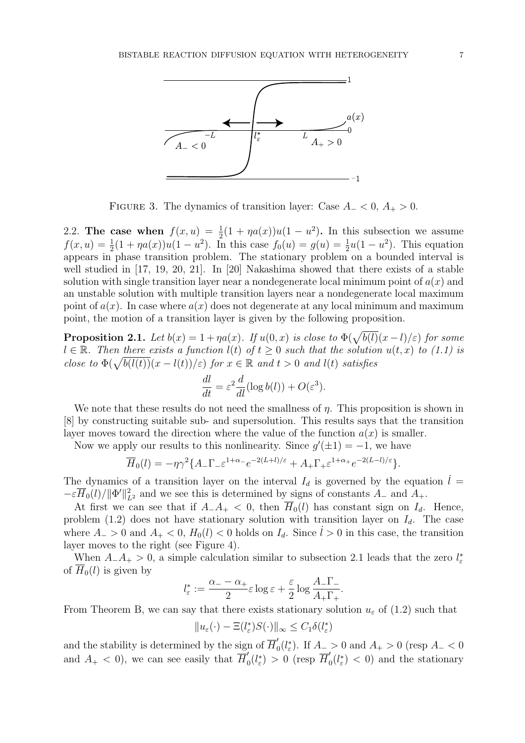

FIGURE 3. The dynamics of transition layer: Case  $A_$  < 0,  $A_+$  > 0.

2.2. The case when  $f(x, u) = \frac{1}{2}(1 + \eta a(x))u(1 - u^2)$ . In this subsection we assume  $f(x, u) = \frac{1}{2}(1 + \eta a(x))u(1 - u^2)$ . In this case  $f_0(u) = g(u) = \frac{1}{2}u(1 - u^2)$ . This equation appears in phase transition problem. The stationary problem on a bounded interval is well studied in [17, 19, 20, 21]. In [20] Nakashima showed that there exists of a stable solution with single transition layer near a nondegenerate local minimum point of  $a(x)$  and an unstable solution with multiple transition layers near a nondegenerate local maximum point of  $a(x)$ . In case where  $a(x)$  does not degenerate at any local minimum and maximum point, the motion of a transition layer is given by the following proposition.

**Proposition 2.1.** Let  $b(x) = 1 + \eta a(x)$ . If  $u(0, x)$  is close to  $\Phi(\sqrt{b(l)}(x-l)/\varepsilon)$  for some  $l \in \mathbb{R}$ . Then there exists a function  $l(t)$  of  $t \geq 0$  such that the solution  $u(t, x)$  to (1.1) is  $a \in \mathbb{R}$ . Then there exists a function  $u(t)$  of  $t \geq 0$  such that the solutio<br>close to  $\Phi(\sqrt{b(l(t))}(x - l(t))/\varepsilon)$  for  $x \in \mathbb{R}$  and  $t > 0$  and  $l(t)$  satisfies

$$
\frac{dl}{dt} = \varepsilon^2 \frac{d}{dl} (\log b(l)) + O(\varepsilon^3).
$$

We note that these results do not need the smallness of  $\eta$ . This proposition is shown in [8] by constructing suitable sub- and supersolution. This results says that the transition layer moves toward the direction where the value of the function  $a(x)$  is smaller.

Now we apply our results to this nonlinearity. Since  $g'(\pm 1) = -1$ , we have

$$
\overline{H}_0(l) = -\eta \gamma^2 \{ A_- \Gamma_- \varepsilon^{1+\alpha_-} e^{-2(L+l)/\varepsilon} + A_+ \Gamma_+ \varepsilon^{1+\alpha_+} e^{-2(L-l)/\varepsilon} \}.
$$

The dynamics of a transition layer on the interval  $I_d$  is governed by the equation  $\dot{l} =$  $-\varepsilon \overline{H}_0(l)/\|\Phi'\|_{L^2}^2$  and we see this is determined by signs of constants  $A_-$  and  $A_+$ .

At first we can see that if  $A_{-}A_{+} < 0$ , then  $H_0(l)$  has constant sign on  $I_d$ . Hence, problem (1.2) does not have stationary solution with transition layer on  $I_d$ . The case where  $A_{-} > 0$  and  $A_{+} < 0$ ,  $H_0(l) < 0$  holds on  $I_d$ . Since  $l > 0$  in this case, the transition layer moves to the right (see Figure 4).

When  $A_{-}A_{+} > 0$ , a simple calculation similar to subsection 2.1 leads that the zero  $l_{\varepsilon}^{*}$ of  $\overline{H}_0(l)$  is given by

$$
l_{\varepsilon}^*:=\frac{\alpha_--\alpha_+}{2}\varepsilon\log{\varepsilon}+\frac{\varepsilon}{2}\log\frac{A_-\Gamma_-}{A_+\Gamma_+}.
$$

From Theorem B, we can say that there exists stationary solution  $u_{\varepsilon}$  of (1.2) such that

$$
||u_{\varepsilon}(\cdot)-\Xi(l_{\varepsilon}^*)S(\cdot)||_{\infty}\leq C_1\delta(l_{\varepsilon}^*)
$$

and the stability is determined by the sign of  $\overline{H}'_0$  $\int_0'(l_\varepsilon^*)$ . If  $A_- > 0$  and  $A_+ > 0$  (resp  $A_ < 0$ and  $A_+ < 0$ , we can see easily that  $\overline{H}'_0$  $\eta_0'(l_{\varepsilon}^*) > 0$  (resp  $\overline{H}'_0$  $\int_0^{\prime}(l_{\varepsilon}^*)$  < 0) and the stationary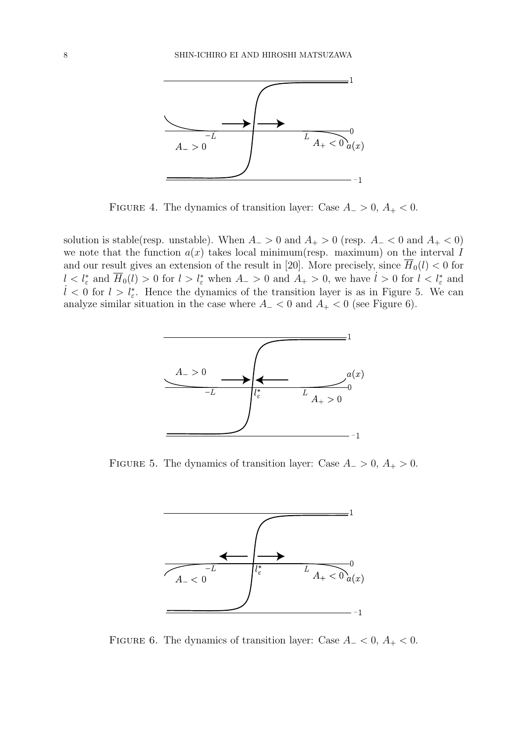

FIGURE 4. The dynamics of transition layer: Case  $A_ > 0$ ,  $A_ + < 0$ .

solution is stable(resp. unstable). When  $A_{-} > 0$  and  $A_{+} > 0$  (resp.  $A_{-} < 0$  and  $A_{+} < 0$ ) we note that the function  $a(x)$  takes local minimum(resp. maximum) on the interval I and our result gives an extension of the result in [20]. More precisely, since  $\overline{H}_0(l) < 0$  for  $l < l^*_{\varepsilon}$  and  $\overline{H}_0(l) > 0$  for  $l > l^*_{\varepsilon}$  when  $A_{-} > 0$  and  $A_{+} > 0$ , we have  $l > 0$  for  $l < l^*_{\varepsilon}$  and  $l < 0$  for  $l > l_{\varepsilon}^*$ . Hence the dynamics of the transition layer is as in Figure 5. We can analyze similar situation in the case where  $A_$  < 0 and  $A_$  < 0 (see Figure 6).



FIGURE 5. The dynamics of transition layer: Case  $A_ > 0$ ,  $A_+ > 0$ .



FIGURE 6. The dynamics of transition layer: Case  $A_$  < 0,  $A_$  < 0.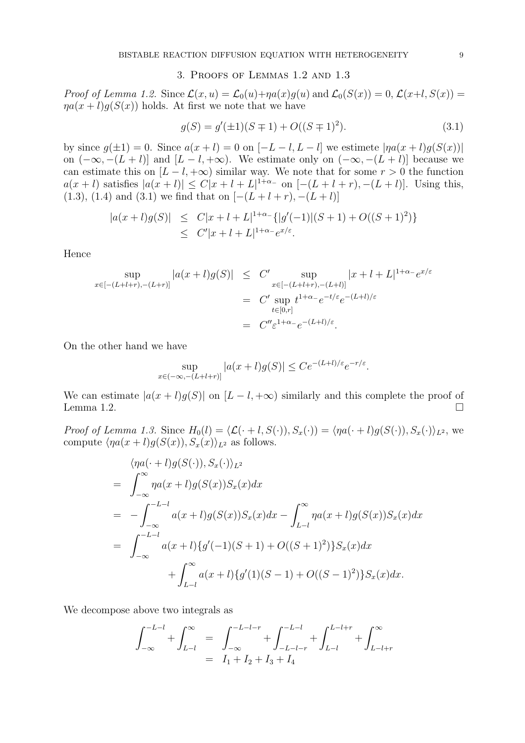## 3. Proofs of Lemmas 1.2 and 1.3

Proof of Lemma 1.2. Since  $\mathcal{L}(x, u) = \mathcal{L}_0(u) + \eta a(x)g(u)$  and  $\mathcal{L}_0(S(x)) = 0$ ,  $\mathcal{L}(x+l, S(x)) =$  $\eta a(x+l)g(S(x))$  holds. At first we note that we have

$$
g(S) = g'(\pm 1)(S \mp 1) + O((S \mp 1)^2). \tag{3.1}
$$

by since  $g(\pm 1) = 0$ . Since  $a(x + l) = 0$  on  $[-L - l, L - l]$  we estimete  $|\eta a(x + l)g(S(x))|$ on  $(-\infty, -(L+l)]$  and  $[L-l, +\infty)$ . We estimate only on  $(-\infty, -(L+l)]$  because we can estimate this on  $[L - l, +\infty)$  similar way. We note that for some  $r > 0$  the function  $a(x + l)$  satisfies  $|a(x + l)| \le C|x + l + L|^{1+\alpha_-}$  on  $[-(L + l + r), -(L + l)]$ . Using this, (1.3), (1.4) and (3.1) we find that on  $[-(L+l+r), -(L+l)]$ 

$$
|a(x+l)g(S)| \leq C|x+l+L|^{1+\alpha_{-}}\{|g'(-1)|(S+1)+O((S+1)^{2})\}
$$
  
 
$$
\leq C'|x+l+L|^{1+\alpha_{-}}e^{x/\varepsilon}.
$$

Hence

$$
\sup_{x \in [-(L+l+r), -(L+r)]} |a(x+l)g(S)| \leq C' \sup_{x \in [-(L+l+r), -(L+l)]} |x+l+L|^{1+\alpha_{-}} e^{x/\varepsilon}
$$
  
= C'  $\sup_{t \in [0,r]} t^{1+\alpha_{-}} e^{-t/\varepsilon} e^{-(L+l)/\varepsilon}$   
= C''  $\varepsilon^{1+\alpha_{-}} e^{-(L+l)/\varepsilon}$ .

On the other hand we have

$$
\sup_{x \in (-\infty, -(L+l+r)]} |a(x+l)g(S)| \le Ce^{-(L+l)/\varepsilon} e^{-r/\varepsilon}.
$$

We can estimate  $|a(x+l)g(S)|$  on  $[L-l,+\infty)$  similarly and this complete the proof of Lemma 1.2.  $\Box$ 

Proof of Lemma 1.3. Since  $H_0(l) = \langle \mathcal{L}(\cdot + l, S(\cdot)), S_x(\cdot) \rangle = \langle \eta a(\cdot + l)g(S(\cdot)), S_x(\cdot) \rangle_{L^2}$ , we compute  $\langle \eta a(x + l)q(S(x)), S_x(x)\rangle_{L^2}$  as follows.

$$
\langle \eta a(\cdot + l)g(S(\cdot)), S_x(\cdot) \rangle_{L^2}
$$
\n
$$
= \int_{-\infty}^{\infty} \eta a(x + l)g(S(x))S_x(x)dx
$$
\n
$$
= -\int_{-\infty}^{-L-l} a(x + l)g(S(x))S_x(x)dx - \int_{L-l}^{\infty} \eta a(x + l)g(S(x))S_x(x)dx
$$
\n
$$
= \int_{-\infty}^{-L-l} a(x + l)\{g'(-1)(S + 1) + O((S + 1)^2)\}S_x(x)dx
$$
\n
$$
+ \int_{L-l}^{\infty} a(x + l)\{g'(1)(S - 1) + O((S - 1)^2)\}S_x(x)dx.
$$

We decompose above two integrals as

$$
\begin{array}{lcl} \displaystyle \int_{-\infty}^{-L-l} + \int_{L-l}^{\infty} & = & \displaystyle \int_{-\infty}^{-L-l-r} + \int_{-L-l-r}^{-L-l} + \int_{L-l}^{L-l+r} + \int_{L-l+r}^{\infty} \\ & = & I_1 + I_2 + I_3 + I_4 \end{array}
$$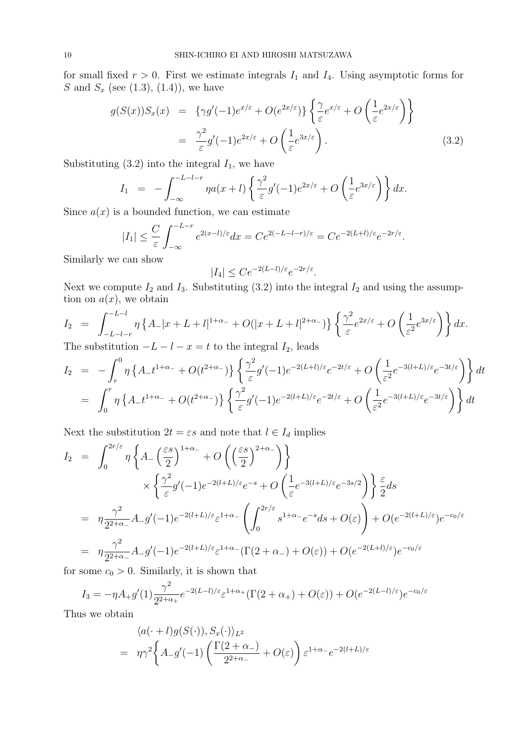for small fixed  $r > 0$ . First we estimate integrals  $I_1$  and  $I_4$ . Using asymptotic forms for S and  $S_x$  (see (1.3), (1.4)), we have ½  $\overline{a}$ 

$$
g(S(x))S_x(x) = \{\gamma g'(-1)e^{x/\varepsilon} + O(e^{2x/\varepsilon})\} \left\{ \frac{\gamma}{\varepsilon} e^{x/\varepsilon} + O\left(\frac{1}{\varepsilon} e^{2x/\varepsilon}\right) \right\}
$$
  

$$
= \frac{\gamma^2}{\varepsilon} g'(-1)e^{2x/\varepsilon} + O\left(\frac{1}{\varepsilon} e^{3x/\varepsilon}\right). \tag{3.2}
$$

Substituting  $(3.2)$  into the integral  $I_1$ , we have

$$
I_1 = -\int_{-\infty}^{-L-l-r} \eta a(x+l) \left\{ \frac{\gamma^2}{\varepsilon} g'(-1) e^{2x/\varepsilon} + O\left(\frac{1}{\varepsilon} e^{3x/\varepsilon}\right) \right\} dx.
$$

Since  $a(x)$  is a bounded function, we can estimate

$$
|I_1| \leq \frac{C}{\varepsilon} \int_{-\infty}^{-L-r} e^{2(x-l)/\varepsilon} dx = Ce^{2(-L-l-r)/\varepsilon} = Ce^{-2(L+l)/\varepsilon} e^{-2r/\varepsilon}.
$$

Similarly we can show

$$
|I_4| \le Ce^{-2(L-l)/\varepsilon}e^{-2r/\varepsilon}.
$$

Next we compute  $I_2$  and  $I_3$ . Substituting (3.2) into the integral  $I_2$  and using the assumption on  $a(x)$ , we obtain

$$
I_2 = \int_{-L-l-r}^{-L-l} \eta \left\{ A_- |x+L+l|^{1+\alpha_-} + O(|x+L+l|^{2+\alpha_-}) \right\} \left\{ \frac{\gamma^2}{\varepsilon} e^{2x/\varepsilon} + O\left( \frac{1}{\varepsilon^2} e^{3x/\varepsilon} \right) \right\} dx.
$$

The substitution  $-L - l - x = t$  to the integral  $I_2$ , leads

$$
I_2 = -\int_r^0 \eta \left\{ A_- t^{1+\alpha_-} + O(t^{2+\alpha_-}) \right\} \left\{ \frac{\gamma^2}{\varepsilon} g'(-1) e^{-2(L+l)/\varepsilon} e^{-2t/\varepsilon} + O\left( \frac{1}{\varepsilon^2} e^{-3(l+L)/\varepsilon} e^{-3t/\varepsilon} \right) \right\} dt
$$
  
= 
$$
\int_0^r \eta \left\{ A_- t^{1+\alpha_-} + O(t^{2+\alpha_-}) \right\} \left\{ \frac{\gamma^2}{\varepsilon} g'(-1) e^{-2(l+L)/\varepsilon} e^{-2t/\varepsilon} + O\left( \frac{1}{\varepsilon^2} e^{-3(l+L)/\varepsilon} e^{-3t/\varepsilon} \right) \right\} dt
$$

Next the substitution  $2t = \varepsilon s$  and note that  $l \in I_d$  implies

$$
I_2 = \int_0^{2r/\varepsilon} \eta \left\{ A - \left(\frac{\varepsilon s}{2}\right)^{1+\alpha_-} + O\left(\left(\frac{\varepsilon s}{2}\right)^{2+\alpha_-}\right) \right\}
$$
  

$$
\times \left\{ \frac{\gamma^2}{\varepsilon} g'(-1) e^{-2(l+L)/\varepsilon} e^{-s} + O\left(\frac{1}{\varepsilon} e^{-3(l+L)/\varepsilon} e^{-3s/2}\right) \right\} \frac{\varepsilon}{2} ds
$$
  

$$
= \eta \frac{\gamma^2}{2^{2+\alpha_-}} A - g'(-1) e^{-2(l+L)/\varepsilon} \varepsilon^{1+\alpha_-} \left( \int_0^{2r/\varepsilon} s^{1+\alpha_-} e^{-s} ds + O(\varepsilon) \right) + O(e^{-2(l+L)/\varepsilon}) e^{-c_0/\varepsilon}
$$
  

$$
= \eta \frac{\gamma^2}{2^{2+\alpha_-}} A - g'(-1) e^{-2(l+L)/\varepsilon} \varepsilon^{1+\alpha_-} (\Gamma(2+\alpha_-) + O(\varepsilon)) + O(e^{-2(L+l)/\varepsilon}) e^{-c_0/\varepsilon}
$$

for some  $c_0 > 0$ . Similarly, it is shown that

$$
I_3 = -\eta A_+ g'(1) \frac{\gamma^2}{2^{2+\alpha_+}} e^{-2(L-l)/\varepsilon} \varepsilon^{1+\alpha_+} (\Gamma(2+\alpha_+) + O(\varepsilon)) + O(e^{-2(L-l)/\varepsilon}) e^{-c_0/\varepsilon}
$$

Thus we obtain

$$
\langle a(\cdot+l)g(S(\cdot)), S_x(\cdot)\rangle_{L^2}
$$
  
=  $\eta\gamma^2 \left\{ A_g'(-1) \left( \frac{\Gamma(2+\alpha_-)}{2^{2+\alpha_-}} + O(\varepsilon) \right) \varepsilon^{1+\alpha_-} e^{-2(l+L)/\varepsilon} \right\}$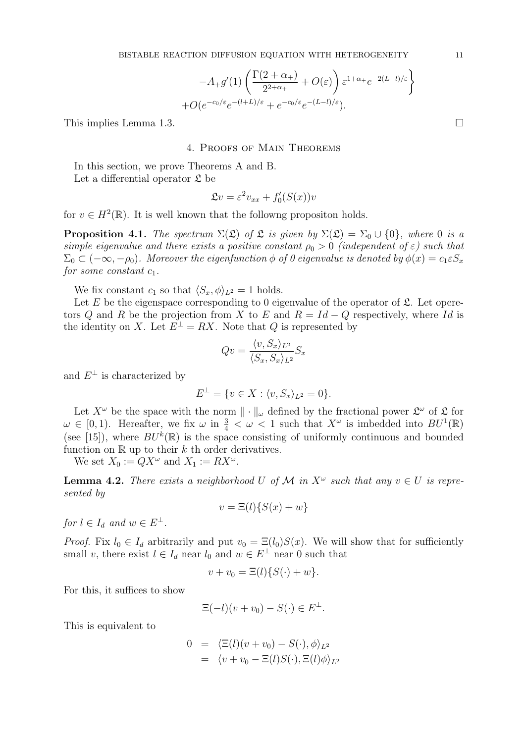$$
-A_{+}g'(1)\left(\frac{\Gamma(2+\alpha_{+})}{2^{2+\alpha_{+}}}+O(\varepsilon)\right)\varepsilon^{1+\alpha_{+}}e^{-2(L-l)/\varepsilon} + O(e^{-c_{0}/\varepsilon}e^{-(l+L)/\varepsilon}+e^{-c_{0}/\varepsilon}e^{-(L-l)/\varepsilon}).
$$

This implies Lemma 1.3.  $\Box$ 

#### 4. Proofs of Main Theorems

In this section, we prove Theorems A and B. Let a differential operator  $\mathfrak L$  be

$$
\mathfrak{L}v = \varepsilon^2 v_{xx} + f_0'(S(x))v
$$

for  $v \in H^2(\mathbb{R})$ . It is well known that the followng propositon holds.

**Proposition 4.1.** The spectrum  $\Sigma(\mathfrak{L})$  of  $\mathfrak{L}$  is given by  $\Sigma(\mathfrak{L}) = \Sigma_0 \cup \{0\}$ , where 0 is a simple eigenvalue and there exists a positive constant  $\rho_0 > 0$  (independent of  $\varepsilon$ ) such that  $\Sigma_0 \subset (-\infty, -\rho_0)$ . Moreover the eigenfunction  $\phi$  of 0 eigenvalue is denoted by  $\phi(x) = c_1 \varepsilon S_x$ for some constant  $c_1$ .

We fix constant  $c_1$  so that  $\langle S_x, \phi \rangle_{L^2} = 1$  holds.

Let E be the eigenspace corresponding to 0 eigenvalue of the operator of  $\mathfrak{L}$ . Let operetors Q and R be the projection from X to E and  $R = Id - Q$  respectively, where Id is the identity on X. Let  $E^{\perp} = RX$ . Note that Q is represented by

$$
Qv = \frac{\langle v, S_x \rangle_{L^2}}{\langle S_x, S_x \rangle_{L^2}} S_x
$$

and  $E^{\perp}$  is characterized by

$$
E^{\perp} = \{ v \in X : \langle v, S_x \rangle_{L^2} = 0 \}.
$$

Let  $X^{\omega}$  be the space with the norm  $\|\cdot\|_{\omega}$  defined by the fractional power  $\mathfrak{L}^{\omega}$  of  $\mathfrak L$  for  $\omega \in [0,1)$ . Hereafter, we fix  $\omega$  in  $\frac{3}{4} < \omega < 1$  such that  $X^{\omega}$  is imbedded into  $BU^{1}(\mathbb{R})$ (see [15]), where  $BU^k(\mathbb{R})$  is the space consisting of uniformly continuous and bounded function on  $\mathbb R$  up to their k th order derivatives.

We set  $X_0 := QX^{\omega}$  and  $X_1 := RX^{\omega}$ .

**Lemma 4.2.** There exists a neighborhood U of M in  $X^{\omega}$  such that any  $v \in U$  is represented by

$$
v = \Xi(l)\{S(x) + w\}
$$

for  $l \in I_d$  and  $w \in E^{\perp}$ .

*Proof.* Fix  $l_0 \in I_d$  arbitrarily and put  $v_0 = \Xi(l_0)S(x)$ . We will show that for sufficiently small v, there exist  $l \in I_d$  near  $l_0$  and  $w \in E^{\perp}$  near 0 such that

$$
v + v_0 = \Xi(l)\{S(\cdot) + w\}.
$$

For this, it suffices to show

$$
\Xi(-l)(v+v_0) - S(\cdot) \in E^{\perp}.
$$

This is equivalent to

$$
0 = \langle \Xi(l)(v+v_0) - S(\cdot), \phi \rangle_{L^2}
$$
  
=  $\langle v + v_0 - \Xi(l)S(\cdot), \Xi(l)\phi \rangle_{L^2}$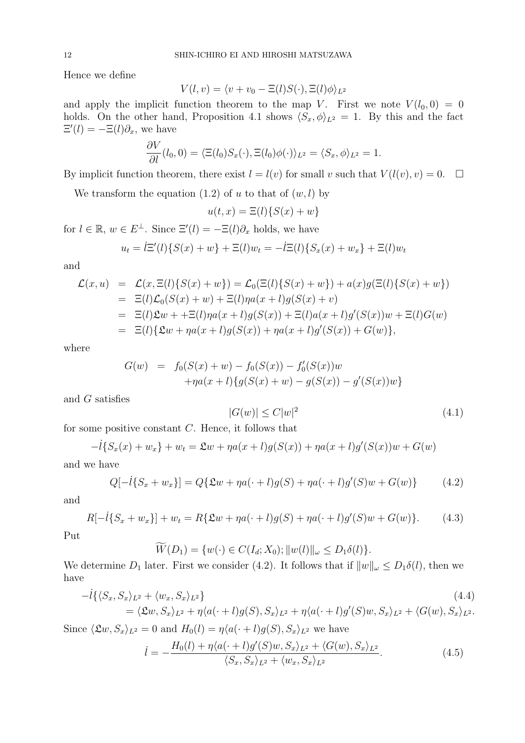Hence we define

$$
V(l, v) = \langle v + v_0 - \Xi(l)S(\cdot), \Xi(l)\phi \rangle_{L^2}
$$

and apply the implicit function theorem to the map V. First we note  $V(l_0, 0) = 0$ holds. On the other hand, Proposition 4.1 shows  $\langle S_x, \phi \rangle_{L^2} = 1$ . By this and the fact  $\Xi'(l) = -\Xi(l)\partial_x$ , we have

$$
\frac{\partial V}{\partial l}(l_0,0) = \langle \Xi(l_0)S_x(\cdot), \Xi(l_0)\phi(\cdot)\rangle_{L^2} = \langle S_x, \phi \rangle_{L^2} = 1.
$$

By implicit function theorem, there exist  $l = l(v)$  for small v such that  $V(l(v), v) = 0$ .  $\Box$ 

We transform the equation  $(1.2)$  of u to that of  $(w, l)$  by

$$
u(t,x) = \Xi(l)\{S(x) + w\}
$$

for  $l \in \mathbb{R}$ ,  $w \in E^{\perp}$ . Since  $\Xi'(l) = -\Xi(l)\partial_x$  holds, we have

$$
u_t = \dot{l} \Xi'(l) \{ S(x) + w \} + \Xi(l) w_t = -\dot{l} \Xi(l) \{ S_x(x) + w_x \} + \Xi(l) w_t
$$

and

$$
\mathcal{L}(x, u) = \mathcal{L}(x, \Xi(l)\{S(x) + w\}) = \mathcal{L}_0(\Xi(l)\{S(x) + w\}) + a(x)g(\Xi(l)\{S(x) + w\}) \n= \Xi(l)\mathcal{L}_0(S(x) + w) + \Xi(l)\eta a(x + l)g(S(x) + v) \n= \Xi(l)\mathcal{L}w + + \Xi(l)\eta a(x + l)g(S(x)) + \Xi(l)a(x + l)g'(S(x))w + \Xi(l)G(w) \n= \Xi(l)\{\mathcal{L}w + \eta a(x + l)g(S(x)) + \eta a(x + l)g'(S(x)) + G(w)\},
$$

where

$$
G(w) = f_0(S(x) + w) - f_0(S(x)) - f'_0(S(x))w
$$
  
+ $\eta a(x+l)\{g(S(x) + w) - g(S(x)) - g'(S(x))w\}$ 

and G satisfies

$$
|G(w)| \le C|w|^2 \tag{4.1}
$$

for some positive constant  $C$ . Hence, it follows that

$$
-l{S_x(x) + w_x} + w_t = \mathfrak{L}w + \eta a(x+l)g(S(x)) + \eta a(x+l)g'(S(x))w + G(w)
$$

and we have

$$
Q[-\dot{l}{S_x + w_x}] = Q\{\mathfrak{L}w + \eta a(\cdot + l)g(S) + \eta a(\cdot + l)g'(S)w + G(w)\}
$$
 (4.2)

and

$$
R[-i{S_x + w_x}] + w_t = R\{\mathfrak{L}w + \eta a(\cdot + l)g(S) + \eta a(\cdot + l)g'(S)w + G(w)\}.
$$
 (4.3)

Put

$$
\widetilde{W}(D_1) = \{w(\cdot) \in C(I_d; X_0); ||w(l)||_{\omega} \le D_1 \delta(l)\}.
$$

We determine  $D_1$  later. First we consider (4.2). It follows that if  $||w||_{\omega} \le D_1 \delta(l)$ , then we have

$$
-i\{\langle S_x, S_x\rangle_{L^2} + \langle w_x, S_x\rangle_{L^2}\}\
$$
\n
$$
= \langle \mathfrak{L}w, S_x\rangle_{L^2} + \eta\langle a(\cdot + l)g(S), S_x\rangle_{L^2} + \eta\langle a(\cdot + l)g'(S)w, S_x\rangle_{L^2} + \langle G(w), S_x\rangle_{L^2}.
$$
\n(4.4)

Since  $\langle \mathfrak{L} w, S_x \rangle_{L^2} = 0$  and  $H_0(l) = \eta \langle a(\cdot + l)g(S), S_x \rangle_{L^2}$  we have

$$
\dot{l} = -\frac{H_0(l) + \eta \langle a(\cdot + l)g'(S)w, S_x \rangle_{L^2} + \langle G(w), S_x \rangle_{L^2}}{\langle S_x, S_x \rangle_{L^2} + \langle w_x, S_x \rangle_{L^2}}.
$$
\n(4.5)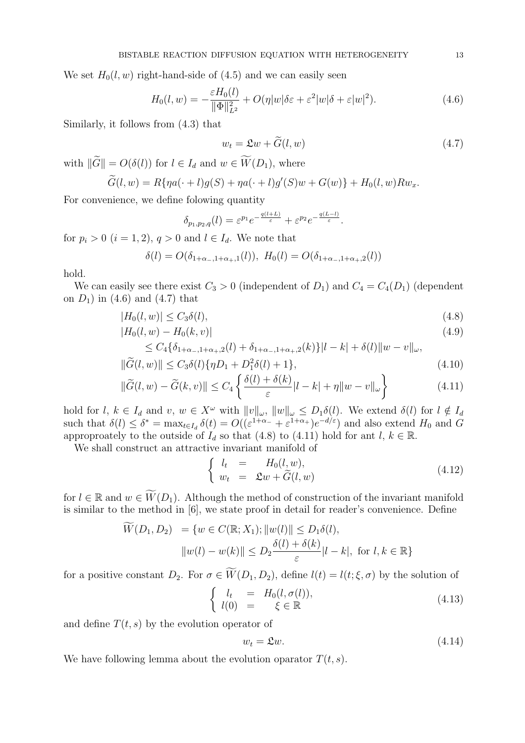We set  $H_0(l, w)$  right-hand-side of (4.5) and we can easily seen

$$
H_0(l, w) = -\frac{\varepsilon H_0(l)}{\|\Phi\|_{L^2}^2} + O(\eta|w|\delta\varepsilon + \varepsilon^2|w|\delta + \varepsilon|w|^2). \tag{4.6}
$$

Similarly, it follows from (4.3) that

$$
w_t = \mathfrak{L}w + \widetilde{G}(l, w) \tag{4.7}
$$

with  $\|\widetilde{G}\| = O(\delta(l))$  for  $l \in I_d$  and  $w \in \widetilde{W}(D_1)$ , where

$$
\widetilde{G}(l,w) = R\{\eta a(\cdot+l)g(S) + \eta a(\cdot+l)g'(S)w + G(w)\} + H_0(l,w)Rw_x.
$$

For convenience, we define folowing quantity

$$
\delta_{p_1,p_2,q}(l) = \varepsilon^{p_1} e^{-\frac{q(l+L)}{\varepsilon}} + \varepsilon^{p_2} e^{-\frac{q(L-l)}{\varepsilon}}.
$$

for  $p_i > 0$   $(i = 1, 2), q > 0$  and  $l \in I_d$ . We note that

$$
\delta(l) = O(\delta_{1+\alpha_-,1+\alpha_+,1}(l)), \ H_0(l) = O(\delta_{1+\alpha_-,1+\alpha_+,2}(l))
$$

hold.

We can easily see there exist  $C_3 > 0$  (independent of  $D_1$ ) and  $C_4 = C_4(D_1)$  (dependent on  $D_1$ ) in (4.6) and (4.7) that

$$
|H_0(l, w)| \le C_3 \delta(l),\tag{4.8}
$$

$$
|H_0(l, w) - H_0(k, v)| \tag{4.9}
$$

$$
\leq C_4 \{\delta_{1+\alpha_{-},1+\alpha_{+},2}(l) + \delta_{1+\alpha_{-},1+\alpha_{+},2}(k)\} |l-k| + \delta(l) \|w-v\|_{\omega},
$$
  

$$
\|\widetilde{G}(l,w)\| \leq C_3 \delta(l) \{\eta D_1 + D_1^2 \delta(l) + 1\},
$$
\n(4.10)

$$
\|\widetilde{G}(l, w) - \widetilde{G}(k, v)\| \le C_4 \left\{ \frac{\delta(l) + \delta(k)}{\varepsilon} |l - k| + \eta \|w - v\|_{\omega} \right\}
$$
(4.11)

hold for l,  $k \in I_d$  and  $v, w \in X^{\omega}$  with  $||v||_{\omega}$ ,  $||w||_{\omega} \leq D_1\delta(l)$ . We extend  $\delta(l)$  for  $l \notin I_d$ such that  $\delta(l) \leq \delta^* = \max_{t \in I_d} \delta(t) = O((\varepsilon^{1+\alpha_-} + \varepsilon^{1+\alpha_+})e^{-d/\varepsilon})$  and also extend  $H_0$  and G approproately to the outside of  $I_d$  so that (4.8) to (4.11) hold for ant  $l, k \in \mathbb{R}$ .

We shall construct an attractive invariant manifold of

$$
\begin{cases}\n l_t &= H_0(l, w), \\
 w_t &= \mathfrak{L}w + \widetilde{G}(l, w)\n\end{cases}
$$
\n(4.12)

for  $l \in \mathbb{R}$  and  $w \in \widetilde{W}(D_1)$ . Although the method of construction of the invariant manifold is similar to the method in [6], we state proof in detail for reader's convenience. Define

$$
\widetilde{W}(D_1, D_2) = \{ w \in C(\mathbb{R}; X_1); ||w(l)|| \le D_1 \delta(l),
$$
  

$$
||w(l) - w(k)|| \le D_2 \frac{\delta(l) + \delta(k)}{\varepsilon} |l - k|, \text{ for } l, k \in \mathbb{R} \}
$$

for a positive constant  $D_2$ . For  $\sigma \in \widetilde{W}(D_1, D_2)$ , define  $l(t) = l(t; \xi, \sigma)$  by the solution of

$$
\begin{cases}\n l_t = H_0(l, \sigma(l)), \\
 l(0) = \xi \in \mathbb{R}\n\end{cases}
$$
\n(4.13)

and define  $T(t, s)$  by the evolution operator of

$$
w_t = \mathfrak{L}w.\tag{4.14}
$$

We have following lemma about the evolution oparator  $T(t, s)$ .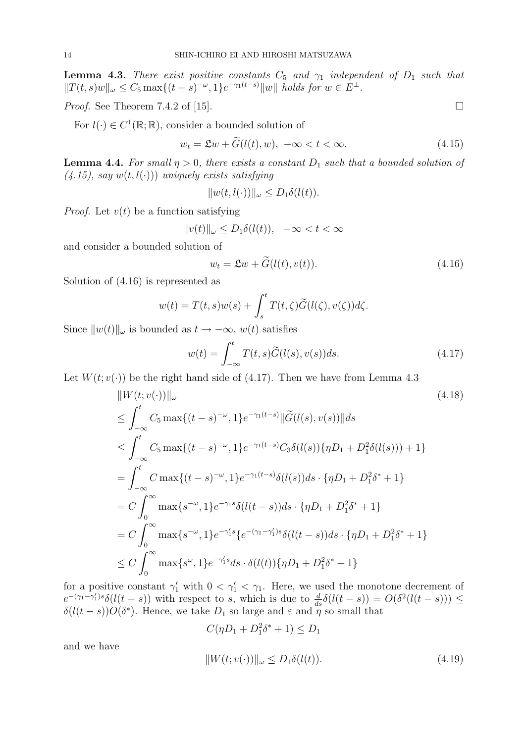**Lemma 4.3.** There exist positive constants  $C_5$  and  $\gamma_1$  independent of  $D_1$  such that  $||T(t,s)w||_{\omega} \leq C_5 \max\{(t-s)^{-\omega}, 1\} e^{-\gamma_1(t-s)} ||w||$  holds for  $w \in E^{\perp}$ .

*Proof.* See Theorem 7.4.2 of [15].  $\Box$ 

For  $l(\cdot) \in C^1(\mathbb{R}; \mathbb{R})$ , consider a bounded solution of

$$
w_t = \mathfrak{L}w + \widetilde{G}(l(t), w), \ -\infty < t < \infty. \tag{4.15}
$$

**Lemma 4.4.** For small  $\eta > 0$ , there exists a constant  $D_1$  such that a bounded solution of  $(4.15)$ , say  $w(t, l(\cdot))$  uniquely exists satisfying

 $||w(t, l(\cdot))||_{\omega} \leq D_1 \delta(l(t)).$ 

*Proof.* Let  $v(t)$  be a function satisfying

$$
||v(t)||_{\omega} \le D_1 \delta(l(t)), \quad -\infty < t < \infty
$$

and consider a bounded solution of

$$
w_t = \mathfrak{L}w + \widetilde{G}(l(t), v(t)).
$$
\n(4.16)

Solution of (4.16) is represented as

$$
w(t) = T(t,s)w(s) + \int_s^t T(t,\zeta)\widetilde{G}(l(\zeta),v(\zeta))d\zeta.
$$

Since  $||w(t)||_{\omega}$  is bounded as  $t \to -\infty$ ,  $w(t)$  satisfies

$$
w(t) = \int_{-\infty}^{t} T(t, s)\widetilde{G}(l(s), v(s))ds.
$$
 (4.17)

Let  $W(t; v(\cdot))$  be the right hand side of (4.17). Then we have from Lemma 4.3

$$
||W(t; v(\cdot))||_{\omega}
$$
\n
$$
\leq \int_{-\infty}^{t} C_5 \max\{(t-s)^{-\omega}, 1\} e^{-\gamma_1(t-s)} ||\widetilde{G}(l(s), v(s))|| ds
$$
\n
$$
\leq \int_{-\infty}^{t} C_5 \max\{(t-s)^{-\omega}, 1\} e^{-\gamma_1(t-s)} C_3 \delta(l(s)) \{\eta D_1 + D_1^2 \delta(l(s))\} + 1\}
$$
\n
$$
= \int_{-\infty}^{t} C \max\{(t-s)^{-\omega}, 1\} e^{-\gamma_1(t-s)} \delta(l(s)) ds \cdot \{\eta D_1 + D_1^2 \delta^* + 1\}
$$
\n
$$
= C \int_{0}^{\infty} \max\{s^{-\omega}, 1\} e^{-\gamma_1 s} \delta(l(t-s)) ds \cdot \{\eta D_1 + D_1^2 \delta^* + 1\}
$$
\n
$$
= C \int_{0}^{\infty} \max\{s^{-\omega}, 1\} e^{-\gamma_1 s} \{e^{-(\gamma_1 - \gamma_1')s} \delta(l(t-s)) ds \cdot \{\eta D_1 + D_1^2 \delta^* + 1\}
$$
\n
$$
\leq C \int_{0}^{\infty} \max\{s^{\omega}, 1\} e^{-\gamma_1' s} ds \cdot \delta(l(t)) \{\eta D_1 + D_1^2 \delta^* + 1\}
$$
\n(11.18)

for a positive constant  $\gamma'_1$  with  $0 < \gamma'_1 < \gamma_1$ . Here, we used the monotone decrement of  $e^{-(\gamma_1-\gamma_1')s}\delta(l(t-s))$  with respect to s, which is due to  $\frac{d}{ds}\delta(l(t-s)) = O(\delta^2(l(t-s))) \le$  $\delta(l(t-s))O(\delta^*)$ . Hence, we take  $D_1$  so large and  $\varepsilon$  and  $\tilde{\eta}$  so small that

$$
C(\eta D_1 + D_1^2 \delta^* + 1) \le D_1
$$
  

$$
||W(t; v(\cdot))||_{\omega} \le D_1 \delta(l(t)).
$$
 (4.19)

and we have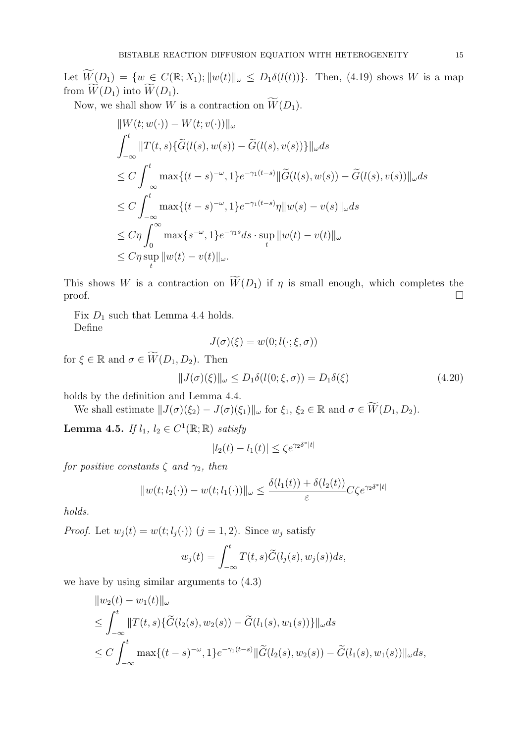Let  $\widetilde{W}(D_1) = \{w \in C(\mathbb{R}; X_1); ||w(t)||_{\omega} \leq D_1 \delta(l(t))\}.$  Then, (4.19) shows W is a map from  $W(D_1)$  into  $W(D_1)$ .

Now, we shall show W is a contraction on  $\widetilde{W}(D_1)$ .

$$
||W(t; w(\cdot)) - W(t; v(\cdot))||_{\omega}
$$
  
\n
$$
\int_{-\infty}^{t} ||T(t, s)\{\widetilde{G}(l(s), w(s)) - \widetilde{G}(l(s), v(s))\}||_{\omega} ds
$$
  
\n
$$
\leq C \int_{-\infty}^{t} \max\{(t - s)^{-\omega}, 1\} e^{-\gamma_1(t - s)} ||\widetilde{G}(l(s), w(s)) - \widetilde{G}(l(s), v(s))||_{\omega} ds
$$
  
\n
$$
\leq C \int_{-\infty}^{t} \max\{(t - s)^{-\omega}, 1\} e^{-\gamma_1(t - s)} \eta ||w(s) - v(s)||_{\omega} ds
$$
  
\n
$$
\leq C \eta \int_{0}^{\infty} \max\{s^{-\omega}, 1\} e^{-\gamma_1 s} ds \cdot \sup_{t} ||w(t) - v(t)||_{\omega}
$$
  
\n
$$
\leq C \eta \sup_{t} ||w(t) - v(t)||_{\omega}.
$$

This shows W is a contraction on  $\widetilde{W}(D_1)$  if  $\eta$  is small enough, which completes the  $\Box$ 

Fix  $D_1$  such that Lemma 4.4 holds. Define

$$
J(\sigma)(\xi) = w(0; l(\cdot; \xi, \sigma))
$$

for  $\xi \in \mathbb{R}$  and  $\sigma \in \widetilde{W}(D_1, D_2)$ . Then

$$
||J(\sigma)(\xi)||_{\omega} \le D_1 \delta(l(0;\xi,\sigma)) = D_1 \delta(\xi)
$$
\n(4.20)

holds by the definition and Lemma 4.4.

We shall estimate  $||J(\sigma)(\xi_2) - J(\sigma)(\xi_1)||_{\omega}$  for  $\xi_1, \xi_2 \in \mathbb{R}$  and  $\sigma \in \widetilde{W}(D_1, D_2)$ .

**Lemma 4.5.** If  $l_1, l_2 \in C^1(\mathbb{R}; \mathbb{R})$  satisfy

$$
|l_2(t) - l_1(t)| \le \zeta e^{\gamma_2 \delta^*|t|}
$$

for positive constants  $\zeta$  and  $\gamma_2$ , then

$$
||w(t; l_2(\cdot)) - w(t; l_1(\cdot))||_{\omega} \le \frac{\delta(l_1(t)) + \delta(l_2(t))}{\varepsilon} C \zeta e^{\gamma_2 \delta^*|t|}
$$

holds.

*Proof.* Let  $w_i(t) = w(t; l_i(\cdot))$   $(j = 1, 2)$ . Since  $w_i$  satisfy

$$
w_j(t) = \int_{-\infty}^t T(t,s)\widetilde{G}(l_j(s),w_j(s))ds,
$$

we have by using similar arguments to (4.3)

$$
\|w_2(t) - w_1(t)\|_{\omega}
$$
  
\n
$$
\leq \int_{-\infty}^t \|T(t,s)\{\widetilde{G}(l_2(s), w_2(s)) - \widetilde{G}(l_1(s), w_1(s))\}\|_{\omega} ds
$$
  
\n
$$
\leq C \int_{-\infty}^t \max\{(t-s)^{-\omega}, 1\} e^{-\gamma_1(t-s)} \|\widetilde{G}(l_2(s), w_2(s)) - \widetilde{G}(l_1(s), w_1(s))\|_{\omega} ds,
$$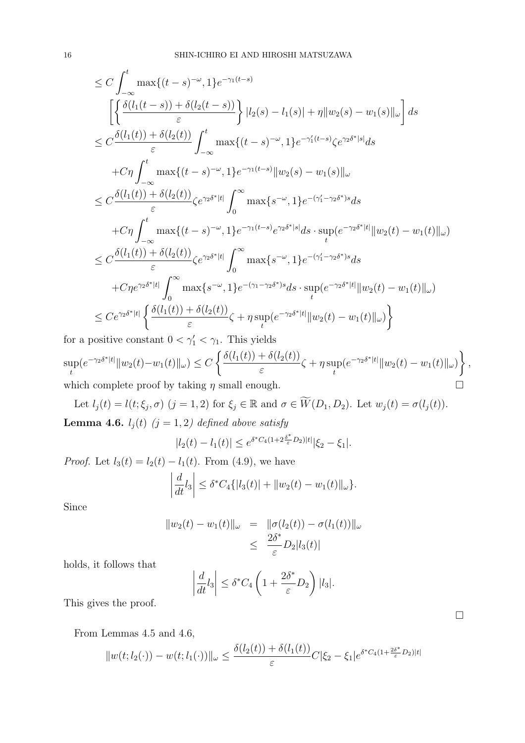$$
\leq C \int_{-\infty}^{t} \max\{(t-s)^{-\omega}, 1\} e^{-\gamma_1(t-s)} \n\left[ \left\{ \frac{\delta(l_1(t-s)) + \delta(l_2(t-s))}{\varepsilon} \right\} |l_2(s) - l_1(s)| + \eta ||w_2(s) - w_1(s)||_{\omega} \right] ds \n\leq C \frac{\delta(l_1(t)) + \delta(l_2(t))}{\varepsilon} \int_{-\infty}^{t} \max\{(t-s)^{-\omega}, 1\} e^{-\gamma_1'(t-s)} \zeta e^{\gamma_2 \delta^* |s|} ds \n+ C\eta \int_{-\infty}^{t} \max\{(t-s)^{-\omega}, 1\} e^{-\gamma_1(t-s)} ||w_2(s) - w_1(s)||_{\omega} \n\leq C \frac{\delta(l_1(t)) + \delta(l_2(t))}{\varepsilon} \zeta e^{\gamma_2 \delta^* |t|} \int_{0}^{\infty} \max\{s^{-\omega}, 1\} e^{-(\gamma_1' - \gamma_2 \delta^*)s} ds \n+ C\eta \int_{-\infty}^{t} \max\{(t-s)^{-\omega}, 1\} e^{-\gamma_1(t-s)} e^{\gamma_2 \delta^* |s|} ds \cdot \sup_{t} (e^{-\gamma_2 \delta^* |t|} ||w_2(t) - w_1(t)||_{\omega}) \n\leq C \frac{\delta(l_1(t)) + \delta(l_2(t))}{\varepsilon} \zeta e^{\gamma_2 \delta^* |t|} \int_{0}^{\infty} \max\{s^{-\omega}, 1\} e^{-(\gamma_1' - \gamma_2 \delta^*)s} ds \n+ C\eta e^{\gamma_2 \delta^* |t|} \int_{0}^{\infty} \max\{s^{-\omega}, 1\} e^{-(\gamma_1 - \gamma_2 \delta^*)s} ds \cdot \sup_{t} (e^{-\gamma_2 \delta^* |t|} ||w_2(t) - w_1(t)||_{\omega}) \n\leq C e^{\gamma_2 \delta^* |t|} \left\{ \frac{\delta(l_1(t)) + \delta(l_2(t))}{\varepsilon} \zeta + \eta \sup_{t} (e^{-\gamma_2 \delta^* |t|} ||w_2(t) - w_1(t)||_{\omega} \right\}
$$

for a positive constant  $0 < \gamma_1' < \gamma_1$ . This yields sup t  $(e^{-\gamma_2 \delta^*|t|} ||w_2(t)-w_1(t)||_{\omega}) \leq C$  $\frac{1}{\sqrt{2}}$  $\delta(l_1(t)) + \delta(l_2(t))$ ε  $\zeta + \eta \sup$ t  $(e^{-\gamma_2 \delta^* |t|} ||w_2(t) - w_1(t)||_{\omega})$  $\mathbf{A}^{\dagger}$ , which complete proof by taking  $\eta$  small enough.  $\hfill \Box$ 

Let  $l_j(t) = l(t; \xi_j, \sigma)$   $(j = 1, 2)$  for  $\xi_j \in \mathbb{R}$  and  $\sigma \in \widetilde{W}(D_1, D_2)$ . Let  $w_j(t) = \sigma(l_j(t))$ . **Lemma 4.6.**  $l_j(t)$   $(j = 1, 2)$  defined above satisfy

$$
|l_2(t) - l_1(t)| \le e^{\delta^* C_4(1 + 2\frac{\delta^*}{\varepsilon}D_2)|t|} |\xi_2 - \xi_1|.
$$

*Proof.* Let  $l_3(t) = l_2(t) - l_1(t)$ . From (4.9), we have

$$
\left|\frac{d}{dt}l_3\right| \leq \delta^* C_4\{|l_3(t)| + ||w_2(t) - w_1(t)||_{\omega}\}.
$$

Since

$$
||w_2(t) - w_1(t)||_{\omega} = ||\sigma(l_2(t)) - \sigma(l_1(t))||_{\omega}
$$
  

$$
\leq \frac{2\delta^*}{\varepsilon} D_2|l_3(t)|
$$

holds, it follows that

$$
\left|\frac{d}{dt}l_3\right| \le \delta^* C_4 \left(1 + \frac{2\delta^*}{\varepsilon}D_2\right)|l_3|.
$$

This gives the proof.

From Lemmas 4.5 and 4.6,

$$
||w(t; l_2(\cdot)) - w(t; l_1(\cdot))||_{\omega} \le \frac{\delta(l_2(t)) + \delta(l_1(t))}{\varepsilon} C |\xi_2 - \xi_1| e^{\delta^* C_4 (1 + \frac{2\delta^*}{\varepsilon} D_2)|t|}
$$

¤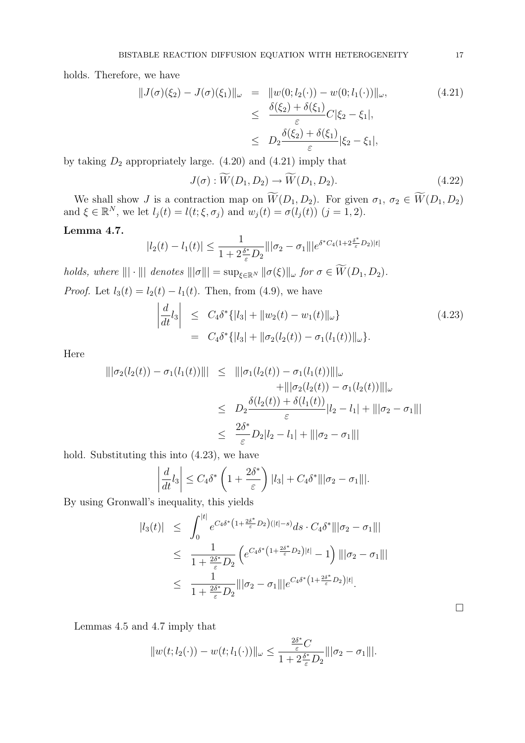holds. Therefore, we have

$$
||J(\sigma)(\xi_2) - J(\sigma)(\xi_1)||_{\omega} = ||w(0; l_2(\cdot)) - w(0; l_1(\cdot))||_{\omega},
$$
\n
$$
\leq \frac{\delta(\xi_2) + \delta(\xi_1)}{\varepsilon} C|\xi_2 - \xi_1|,
$$
\n
$$
\leq D_2 \frac{\delta(\xi_2) + \delta(\xi_1)}{\varepsilon} |\xi_2 - \xi_1|,
$$
\n(4.21)

by taking  $D_2$  appropriately large. (4.20) and (4.21) imply that

$$
J(\sigma) : \widetilde{W}(D_1, D_2) \to \widetilde{W}(D_1, D_2). \tag{4.22}
$$

We shall show J is a contraction map on  $\widetilde{W}(D_1, D_2)$ . For given  $\sigma_1, \sigma_2 \in \widetilde{W}(D_1, D_2)$ and  $\xi \in \mathbb{R}^N$ , we let  $l_j(t) = l(t; \xi, \sigma_j)$  and  $w_j(t) = \sigma(l_j(t))$   $(j = 1, 2)$ .

# Lemma 4.7.

$$
|l_2(t) - l_1(t)| \le \frac{1}{1 + 2\frac{\delta^*}{\varepsilon}D_2} \|\|\sigma_2 - \sigma_1\| \|e^{\delta^* C_4 (1 + 2\frac{\delta^*}{\varepsilon}D_2)|t|}
$$

holds, where  $||| \cdot |||$  denotes  $|||\sigma||| = \sup_{\xi \in \mathbb{R}^N} ||\sigma(\xi)||_{\omega}$  for  $\sigma \in \widetilde{W}(D_1, D_2)$ .

*Proof.* Let 
$$
l_3(t) = l_2(t) - l_1(t)
$$
. Then, from (4.9), we have  
\n
$$
\left| \frac{d}{dt} l_3 \right| \leq C_4 \delta^* \{ |l_3| + ||w_2(t) - w_1(t)||_{\omega} \}
$$
\n
$$
= C_4 \delta^* \{ |l_3| + ||\sigma_2(l_2(t)) - \sigma_1(l_1(t))||_{\omega} \}.
$$
\n(4.23)

Here

$$
\begin{aligned}\n|||\sigma_2(l_2(t)) - \sigma_1(l_1(t))||| &\leq |||\sigma_1(l_2(t)) - \sigma_1(l_1(t))|||_{\omega} \\
&\quad + |||\sigma_2(l_2(t)) - \sigma_1(l_2(t))|||_{\omega} \\
&\leq D_2 \frac{\delta(l_2(t)) + \delta(l_1(t))}{\varepsilon} |l_2 - l_1| + |||\sigma_2 - \sigma_1||| \\
&\leq \frac{2\delta^*}{\varepsilon} D_2|l_2 - l_1| + |||\sigma_2 - \sigma_1|||\n\end{aligned}
$$

hold. Substituting this into (4.23), we have

$$
\left|\frac{d}{dt}l_3\right| \leq C_4\delta^* \left(1 + \frac{2\delta^*}{\varepsilon}\right) |l_3| + C_4\delta^* \|\|\sigma_2 - \sigma_1\|\|.
$$

By using Gronwall's inequality, this yields

$$
|l_3(t)| \leq \int_0^{|t|} e^{C_4 \delta^* \left(1 + \frac{2\delta^*}{\varepsilon} D_2\right)(|t| - s)} ds \cdot C_4 \delta^* |||\sigma_2 - \sigma_1|||
$$
  
\n
$$
\leq \frac{1}{1 + \frac{2\delta^*}{\varepsilon} D_2} \left( e^{C_4 \delta^* \left(1 + \frac{2\delta^*}{\varepsilon} D_2\right)|t|} - 1 \right) |||\sigma_2 - \sigma_1|||
$$
  
\n
$$
\leq \frac{1}{1 + \frac{2\delta^*}{\varepsilon} D_2} ||\sigma_2 - \sigma_1|| |e^{C_4 \delta^* \left(1 + \frac{2\delta^*}{\varepsilon} D_2\right)|t|}.
$$

Lemmas 4.5 and 4.7 imply that

$$
||w(t; l_2(\cdot)) - w(t; l_1(\cdot))||_{\omega} \le \frac{\frac{2\delta^*}{\varepsilon}C}{1 + 2\frac{\delta^*}{\varepsilon}D_2}|||\sigma_2 - \sigma_1|||.
$$

¤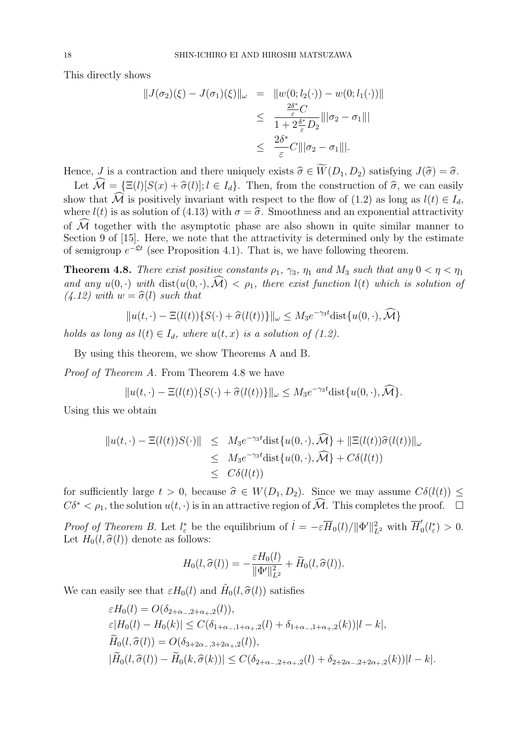This directly shows

$$
||J(\sigma_2)(\xi) - J(\sigma_1)(\xi)||_{\omega} = ||w(0; l_2(\cdot)) - w(0; l_1(\cdot))||
$$
  

$$
\leq \frac{\frac{2\delta^*}{\varepsilon}C}{1 + 2\frac{\delta^*}{\varepsilon}D_2} ||\sigma_2 - \sigma_1|||
$$
  

$$
\leq \frac{2\delta^*}{\varepsilon}C|||\sigma_2 - \sigma_1|||.
$$

Hence, J is a contraction and there uniquely exists  $\hat{\sigma} \in \widetilde{W}(D_1, D_2)$  satisfying  $J(\hat{\sigma}) = \hat{\sigma}$ .

Let  $\widehat{\mathcal{M}} = \{\Xi(l)[S(x) + \widehat{\sigma}(l)]; l \in I_d\}.$  Then, from the construction of  $\widehat{\sigma}$ , we can easily show that  $\widehat{\mathcal{M}}$  is positively invariant with respect to the flow of (1.2) as long as  $l(t) \in I_d$ , where  $l(t)$  is as solution of (4.13) with  $\sigma = \hat{\sigma}$ . Smoothness and an exponential attractivity of  $\mathcal M$  together with the asymptotic phase are also shown in quite similar manner to Section 9 of [15]. Here, we note that the attractivity is determined only by the estimate of semigroup  $e^{-\mathfrak{L}t}$  (see Proposition 4.1). That is, we have following theorem.

**Theorem 4.8.** There exist positive constants  $\rho_1$ ,  $\gamma_3$ ,  $\eta_1$  and  $M_3$  such that any  $0 < \eta < \eta_1$ and any  $u(0, \cdot)$  with  $dist(u(0, \cdot), \mathcal{M}) < \rho_1$ , there exist function  $l(t)$  which is solution of  $(4.12)$  with  $w = \hat{\sigma}(l)$  such that

$$
||u(t,\cdot)-\Xi(l(t))\{S(\cdot)+\widehat{\sigma}(l(t))\}||_{\omega}\leq M_3e^{-\gamma_3t}\text{dist}\{u(0,\cdot),\widehat{\mathcal{M}}\}
$$

holds as long as  $l(t) \in I_d$ , where  $u(t, x)$  is a solution of (1.2).

By using this theorem, we show Theorems A and B.

Proof of Theorem A. From Theorem 4.8 we have

$$
||u(t,\cdot)-\Xi(l(t))\{S(\cdot)+\widehat{\sigma}(l(t))\}||_{\omega}\leq M_3e^{-\gamma_3t}\text{dist}\{u(0,\cdot),\widehat{\mathcal{M}}\}.
$$

Using this we obtain

$$
||u(t, \cdot) - \Xi(l(t))S(\cdot)|| \leq M_3 e^{-\gamma_3 t} \text{dist}\{u(0, \cdot), \widehat{\mathcal{M}}\} + ||\Xi(l(t))\widehat{\sigma}(l(t))||_{\omega}
$$
  
\n
$$
\leq M_3 e^{-\gamma_3 t} \text{dist}\{u(0, \cdot), \widehat{\mathcal{M}}\} + C\delta(l(t))
$$
  
\n
$$
\leq C\delta(l(t))
$$

for sufficiently large  $t > 0$ , because  $\hat{\sigma} \in W(D_1, D_2)$ . Since we may assume  $C\delta(l(t)) \leq$  $C\delta^* < \rho_1$ , the solution  $u(t, \cdot)$  is in an attractive region of  $\widehat{\mathcal{M}}$ . This completes the proof.  $\Box$ 

Proof of Theorem B. Let  $l^*_{\varepsilon}$  be the equilibrium of  $\dot{l} = -\varepsilon \overline{H}_0(l)/\|\Phi'\|^2_{L^2}$  with  $\overline{H}'_0$  $_{0}^{\prime}(l_{\varepsilon}^{*})>0.$ Let  $H_0(l, \hat{\sigma}(l))$  denote as follows:

$$
H_0(l,\widehat{\sigma}(l)) = -\frac{\varepsilon H_0(l)}{\|\Phi'\|_{L^2}^2} + \widetilde{H}_0(l,\widehat{\sigma}(l)).
$$

We can easily see that  $\varepsilon H_0(l)$  and  $\tilde{H}_0(l, \hat{\sigma}(l))$  satisfies

$$
\varepsilon H_0(l) = O(\delta_{2+\alpha_{-},2+\alpha_{+},2}(l)),
$$
  
\n
$$
\varepsilon |H_0(l) - H_0(k)| \le C(\delta_{1+\alpha_{-},1+\alpha_{+},2}(l) + \delta_{1+\alpha_{-},1+\alpha_{+},2}(k))|l - k|,
$$
  
\n
$$
\widetilde{H}_0(l, \widehat{\sigma}(l)) = O(\delta_{3+2\alpha_{-},3+2\alpha_{+},2}(l)),
$$
  
\n
$$
|\widetilde{H}_0(l, \widehat{\sigma}(l)) - \widetilde{H}_0(k, \widehat{\sigma}(k))| \le C(\delta_{2+\alpha_{-},2+\alpha_{+},2}(l) + \delta_{2+2\alpha_{-},2+2\alpha_{+},2}(k))|l - k|.
$$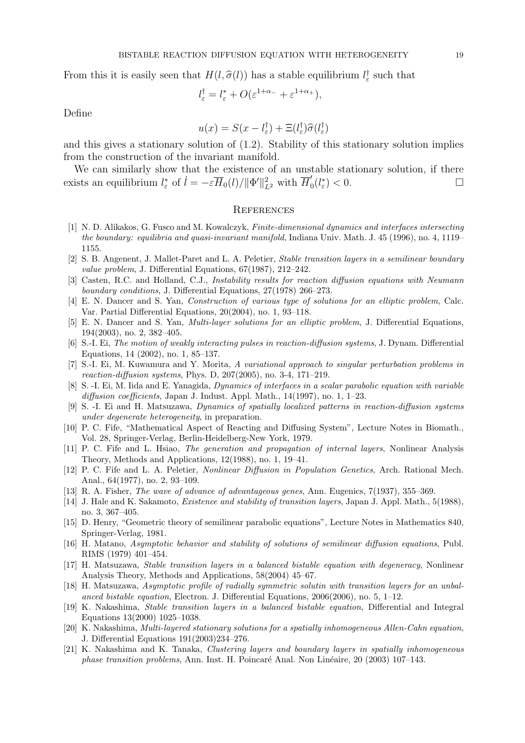From this it is easily seen that  $H(l, \hat{\sigma}(l))$  has a stable equilibrium  $l_{\varepsilon}^{\dagger}$  such that

$$
l_{\varepsilon}^{\dagger} = l_{\varepsilon}^* + O(\varepsilon^{1+\alpha_-} + \varepsilon^{1+\alpha_+}),
$$

Define

$$
u(x) = S(x - l_{\varepsilon}^{\dagger}) + \Xi(l_{\varepsilon}^{\dagger})\widehat{\sigma}(l_{\varepsilon}^{\dagger})
$$

and this gives a stationary solution of  $(1.2)$ . Stability of this stationary solution implies from the construction of the invariant manifold.

We can similarly show that the existence of an unstable stationary solution, if there exists an equilibrium  $l^*_{\varepsilon}$  of  $\dot{l} = -\varepsilon \overline{H}_0(l)/\|\Phi'\|^2_{L^2}$  with  $\overline{H}'_0$  $\int_0^{\prime}(l_{\varepsilon}^*)$  < 0.

#### **REFERENCES**

- [1] N. D. Alikakos, G. Fusco and M. Kowalczyk, Finite-dimensional dynamics and interfaces intersecting the boundary: equilibria and quasi-invariant manifold, Indiana Univ. Math. J. 45 (1996), no. 4, 1119– 1155.
- [2] S. B. Angenent, J. Mallet-Paret and L. A. Peletier, Stable transition layers in a semilinear boundary value problem, J. Differential Equations, 67(1987), 212–242.
- [3] Casten, R.C. and Holland, C.J., Instability results for reaction diffusion equations with Neumann boundary conditions, J. Differential Equations, 27(1978) 266–273.
- [4] E. N. Dancer and S. Yan, Construction of various type of solutions for an elliptic problem, Calc. Var. Partial Differential Equations, 20(2004), no. 1, 93–118.
- [5] E. N. Dancer and S. Yan, Multi-layer solutions for an elliptic problem, J. Differential Equations, 194(2003), no. 2, 382–405.
- [6] S.-I. Ei, The motion of weakly interacting pulses in reaction-diffusion systems, J. Dynam. Differential Equations, 14 (2002), no. 1, 85–137.
- [7] S.-I. Ei, M. Kuwamura and Y. Morita, A variational approach to singular perturbation problems in reaction-diffusion systems, Phys. D, 207(2005), no. 3-4, 171–219.
- [8] S. -I. Ei, M. Iida and E. Yanagida, Dynamics of interfaces in a scalar parabolic equation with variable diffusion coefficients, Japan J. Indust. Appl. Math., 14(1997), no. 1, 1-23.
- [9] S. -I. Ei and H. Matsuzawa, Dynamics of spatially localized patterns in reaction-diffusion systems under degenerate heterogeneity, in preparation.
- [10] P. C. Fife, "Mathematical Aspect of Reacting and Diffusing System", Lecture Notes in Biomath., Vol. 28, Springer-Verlag, Berlin-Heidelberg-New York, 1979.
- [11] P. C. Fife and L. Hsiao, The generation and propagation of internal layers, Nonlinear Analysis Theory, Methods and Applications, 12(1988), no. 1, 19–41.
- [12] P. C. Fife and L. A. Peletier, Nonlinear Diffusion in Population Genetics, Arch. Rational Mech. Anal., 64(1977), no. 2, 93–109.
- [13] R. A. Fisher, *The wave of advance of advantageous genes*, Ann. Eugenics, 7(1937), 355–369.
- [14] J. Hale and K. Sakamoto, *Existence and stability of transition layers*, Japan J. Appl. Math., 5(1988), no. 3, 367–405.
- [15] D. Henry, "Geometric theory of semilinear parabolic equations", Lecture Notes in Mathematics 840, Springer-Verlag, 1981.
- [16] H. Matano, Asymptotic behavior and stability of solutions of semilinear diffusion equations, Publ. RIMS (1979) 401–454.
- [17] H. Matsuzawa, Stable transition layers in a balanced bistable equation with degeneracy, Nonlinear Analysis Theory, Methods and Applications, 58(2004) 45–67.
- [18] H. Matsuzawa, Asymptotic profile of radially symmetric solutin with transition layers for an unbalanced bistable equation, Electron. J. Differential Equations, 2006(2006), no. 5, 1–12.
- [19] K. Nakashima, Stable transition layers in a balanced bistable equation, Differential and Integral Equations 13(2000) 1025–1038.
- [20] K. Nakashima, Multi-layered stationary solutions for a spatially inhomogeneous Allen-Cahn equation, J. Differential Equations 191(2003)234–276.
- [21] K. Nakashima and K. Tanaka, Clustering layers and boundary layers in spatially inhomogeneous phase transition problems, Ann. Inst. H. Poincaré Anal. Non Linéaire, 20 (2003) 107–143.